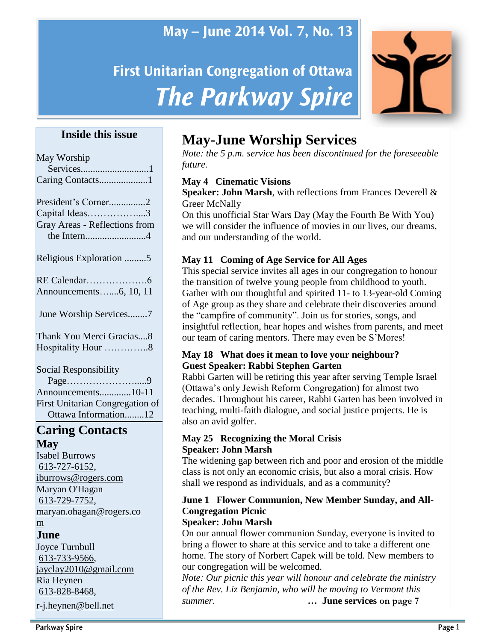## May - June 2014 Vol. 7, No. 13

# **First Unitarian Congregation of Ottawa The Parkway Spire**



### **Inside this issue**

| May Worship                            |
|----------------------------------------|
| Services1                              |
| Caring Contacts1                       |
| President's Corner2                    |
| Capital Ideas3                         |
| Gray Areas - Reflections from          |
| the Intern4                            |
| Religious Exploration 5                |
|                                        |
| Announcements6, 10, 11                 |
| June Worship Services7                 |
| Thank You Merci Gracias8               |
| Hospitality Hour 8                     |
| Social Responsibility                  |
| Page9                                  |
| $\Lambda$ an open onto $\Lambda$ 10.11 |

Announcements.............10-11 First Unitarian Congregation of Ottawa Information........12

### **Caring Contacts May**

Isabel Burrows [613-727-6152,](tel:613-727-6152) [iburrows@rogers.com](mailto:iburrows@rogers.com) Maryan O'Hagan [613-729-7752,](tel:613-729-7752) [maryan.ohagan@rogers.co](mailto:maryan.ohagan@rogers.com)

### [m](mailto:maryan.ohagan@rogers.com)

**June** 

Joyce Turnbull [613-733-9566,](tel:613-733-9566) [jayclay2010@gmail.com](mailto:jayclay2010@gmail.com) Ria Heynen [613-828-8468,](tel:613-828-8468) [r-j.heynen@bell.net](mailto:r-j.heynen@bell.net)

## **May-June Worship Services**

*Note: the 5 p.m. service has been discontinued for the foreseeable future.*

### **May 4 Cinematic Visions**

**Speaker: John Marsh**, with reflections from Frances Deverell & Greer McNally

On this unofficial Star Wars Day (May the Fourth Be With You) we will consider the influence of movies in our lives, our dreams, and our understanding of the world.

### **May 11 Coming of Age Service for All Ages**

This special service invites all ages in our congregation to honour the transition of twelve young people from childhood to youth. Gather with our thoughtful and spirited 11- to 13-year-old Coming of Age group as they share and celebrate their discoveries around the "campfire of community". Join us for stories, songs, and insightful reflection, hear hopes and wishes from parents, and meet our team of caring mentors. There may even be S'Mores!

#### **May 18 What does it mean to love your neighbour? Guest Speaker: Rabbi Stephen Garten**

Rabbi Garten will be retiring this year after serving Temple Israel (Ottawa's only Jewish Reform Congregation) for almost two decades. Throughout his career, Rabbi Garten has been involved in teaching, multi-faith dialogue, and social justice projects. He is also an avid golfer.

#### **May 25 Recognizing the Moral Crisis Speaker: John Marsh**

The widening gap between rich and poor and erosion of the middle class is not only an economic crisis, but also a moral crisis. How shall we respond as individuals, and as a community?

### **June 1 Flower Communion, New Member Sunday, and All-Congregation Picnic**

### **Speaker: John Marsh**

On our annual flower communion Sunday, everyone is invited to bring a flower to share at this service and to take a different one home. The story of Norbert Capek will be told. New members to our congregation will be welcomed.

*Note: Our picnic this year will honour and celebrate the ministry of the Rev. Liz Benjamin, who will be moving to Vermont this summer. …* **June services on page 7**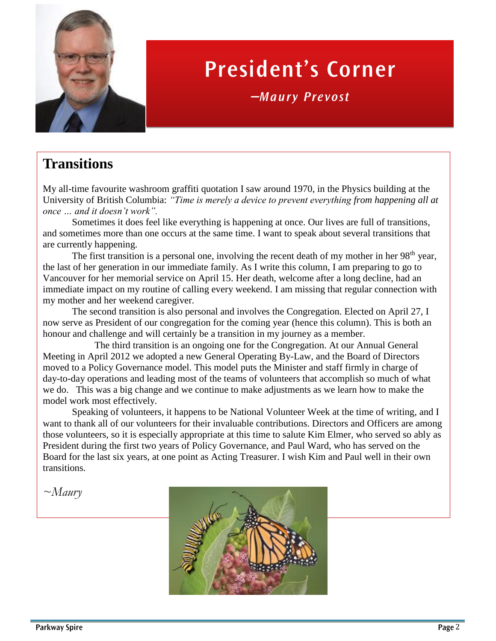

# **President's Corner**

*—*

## **Transitions**

My all-time favourite washroom graffiti quotation I saw around 1970, in the Physics building at the University of British Columbia: *"Time is merely a device to prevent everything from happening all at once … and it doesn't work".* 

Sometimes it does feel like everything is happening at once. Our lives are full of transitions, and sometimes more than one occurs at the same time. I want to speak about several transitions that are currently happening.

The first transition is a personal one, involving the recent death of my mother in her  $98<sup>th</sup>$  year, the last of her generation in our immediate family. As I write this column, I am preparing to go to Vancouver for her memorial service on April 15. Her death, welcome after a long decline, had an immediate impact on my routine of calling every weekend. I am missing that regular connection with my mother and her weekend caregiver.

The second transition is also personal and involves the Congregation. Elected on April 27, I now serve as President of our congregation for the coming year (hence this column). This is both an honour and challenge and will certainly be a transition in my journey as a member.

The third transition is an ongoing one for the Congregation. At our Annual General Meeting in April 2012 we adopted a new General Operating By-Law, and the Board of Directors moved to a Policy Governance model. This model puts the Minister and staff firmly in charge of day-to-day operations and leading most of the teams of volunteers that accomplish so much of what we do. This was a big change and we continue to make adjustments as we learn how to make the model work most effectively.

Speaking of volunteers, it happens to be National Volunteer Week at the time of writing, and I want to thank all of our volunteers for their invaluable contributions. Directors and Officers are among those volunteers, so it is especially appropriate at this time to salute Kim Elmer, who served so ably as President during the first two years of Policy Governance, and Paul Ward, who has served on the Board for the last six years, at one point as Acting Treasurer. I wish Kim and Paul well in their own transitions.

*~Maury*

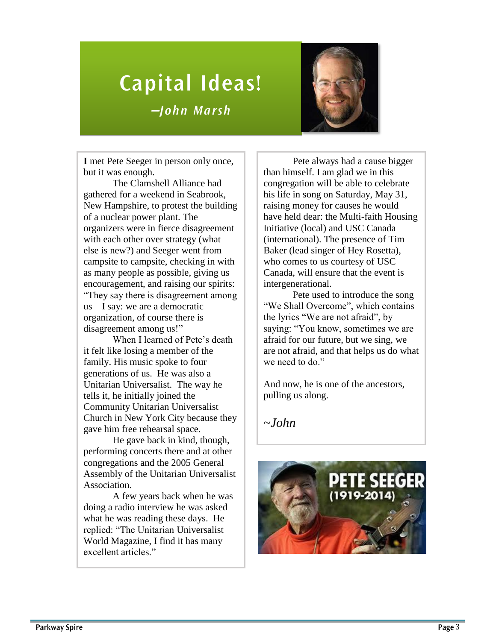# **Capital Ideas!** *—*



**I** met Pete Seeger in person only once, but it was enough.

The Clamshell Alliance had gathered for a weekend in Seabrook, New Hampshire, to protest the building of a nuclear power plant. The organizers were in fierce disagreement with each other over strategy (what else is new?) and Seeger went from campsite to campsite, checking in with as many people as possible, giving us encouragement, and raising our spirits: "They say there is disagreement among us—I say: we are a democratic organization, of course there is disagreement among us!"

When I learned of Pete's death it felt like losing a member of the family. His music spoke to four generations of us. He was also a Unitarian Universalist. The way he tells it, he initially joined the Community Unitarian Universalist Church in New York City because they gave him free rehearsal space.

He gave back in kind, though, performing concerts there and at other congregations and the 2005 General Assembly of the Unitarian Universalist Association.

A few years back when he was doing a radio interview he was asked what he was reading these days. He replied: "The Unitarian Universalist World Magazine, I find it has many excellent articles."

Pete always had a cause bigger than himself. I am glad we in this congregation will be able to celebrate his life in song on Saturday, May 31, raising money for causes he would have held dear: the Multi-faith Housing Initiative (local) and USC Canada (international). The presence of Tim Baker (lead singer of Hey Rosetta), who comes to us courtesy of USC Canada, will ensure that the event is intergenerational.

Pete used to introduce the song "We Shall Overcome", which contains the lyrics "We are not afraid", by saying: "You know, sometimes we are afraid for our future, but we sing, we are not afraid, and that helps us do what we need to do."

And now, he is one of the ancestors, pulling us along.

*~John*

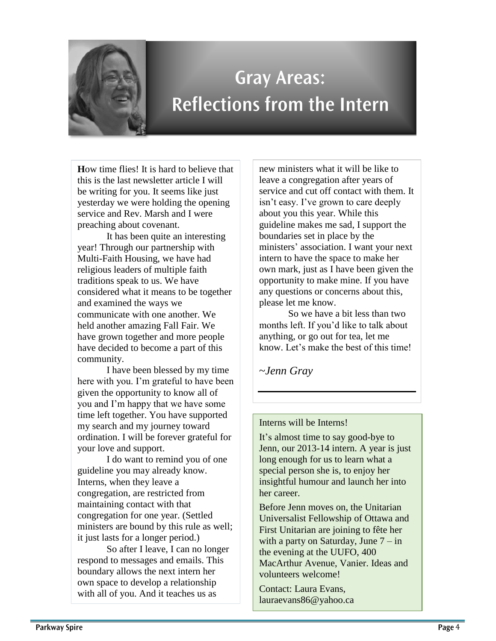

# **Gray Areas: Reflections from the Intern**

**H**ow time flies! It is hard to believe that this is the last newsletter article I will be writing for you. It seems like just yesterday we were holding the opening service and Rev. Marsh and I were preaching about covenant.

It has been quite an interesting year! Through our partnership with Multi-Faith Housing, we have had religious leaders of multiple faith traditions speak to us. We have considered what it means to be together and examined the ways we communicate with one another. We held another amazing Fall Fair. We have grown together and more people have decided to become a part of this community.

I have been blessed by my time here with you. I'm grateful to have been given the opportunity to know all of you and I'm happy that we have some time left together. You have supported my search and my journey toward ordination. I will be forever grateful for your love and support.

I do want to remind you of one guideline you may already know. Interns, when they leave a congregation, are restricted from maintaining contact with that congregation for one year. (Settled ministers are bound by this rule as well; it just lasts for a longer period.)

So after I leave, I can no longer respond to messages and emails. This boundary allows the next intern her own space to develop a relationship with all of you. And it teaches us as

new ministers what it will be like to leave a congregation after years of service and cut off contact with them. It isn't easy. I've grown to care deeply about you this year. While this guideline makes me sad, I support the boundaries set in place by the ministers' association. I want your next intern to have the space to make her own mark, just as I have been given the opportunity to make mine. If you have any questions or concerns about this, please let me know.

So we have a bit less than two months left. If you'd like to talk about anything, or go out for tea, let me know. Let's make the best of this time!

~*Jenn Gray*

#### Interns will be Interns!

It's almost time to say good-bye to Jenn, our 2013-14 intern. A year is just long enough for us to learn what a special person she is, to enjoy her insightful humour and launch her into her career.

Before Jenn moves on, the Unitarian Universalist Fellowship of Ottawa and First Unitarian are joining to fête her with a party on Saturday, June  $7 - in$ the evening at the UUFO, 400 MacArthur Avenue, Vanier. Ideas and volunteers welcome!

Contact: Laura Evans, [lauraevans86@yahoo.ca](mailto:lauraevans86@yahoo.ca)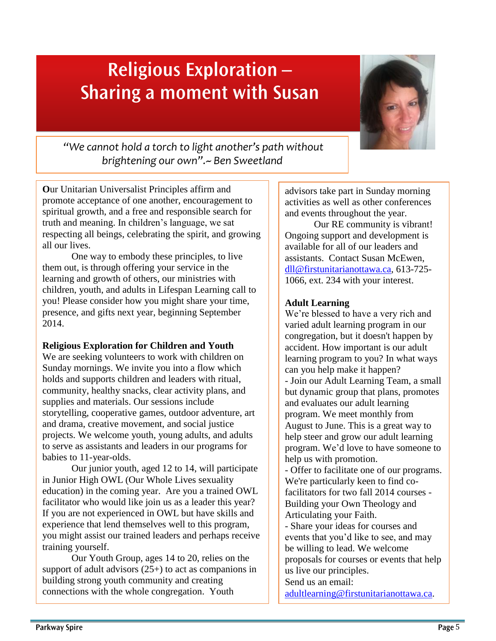# **Religious Exploration -Sharing a moment with Susan**



*"We cannot hold a torch to light another's path without brightening our own".~ Ben Sweetland*

**O**ur Unitarian Universalist Principles affirm and promote acceptance of one another, encouragement to spiritual growth, and a free and responsible search for truth and meaning. In children's language, we sat respecting all beings, celebrating the spirit, and growing all our lives.

One way to embody these principles, to live them out, is through offering your service in the learning and growth of others, our ministries with children, youth, and adults in Lifespan Learning call to you! Please consider how you might share your time, presence, and gifts next year, beginning September 2014.

#### **Religious Exploration for Children and Youth**

We are seeking volunteers to work with children on Sunday mornings. We invite you into a flow which holds and supports children and leaders with ritual, community, healthy snacks, clear activity plans, and supplies and materials. Our sessions include storytelling, cooperative games, outdoor adventure, art and drama, creative movement, and social justice projects. We welcome youth, young adults, and adults to serve as assistants and leaders in our programs for babies to 11-year-olds.

Our junior youth, aged 12 to 14, will participate in Junior High OWL (Our Whole Lives sexuality education) in the coming year. Are you a trained OWL facilitator who would like join us as a leader this year? If you are not experienced in OWL but have skills and experience that lend themselves well to this program, you might assist our trained leaders and perhaps receive training yourself.

Our Youth Group, ages 14 to 20, relies on the support of adult advisors (25+) to act as companions in building strong youth community and creating connections with the whole congregation. Youth

advisors take part in Sunday morning activities as well as other conferences and events throughout the year.

Our RE community is vibrant! Ongoing support and development is available for all of our leaders and assistants. Contact Susan McEwen, [dll@firstunitarianottawa.ca,](mailto:dll@firstunitarianottawa.ca) 613-725- 1066, ext. 234 with your interest.

### **Adult Learning**

We're blessed to have a very rich and varied adult learning program in our congregation, but it doesn't happen by accident. How important is our adult learning program to you? In what ways can you help make it happen? - Join our Adult Learning Team, a small but dynamic group that plans, promotes and evaluates our adult learning program. We meet monthly from August to June. This is a great way to help steer and grow our adult learning program. We'd love to have someone to help us with promotion.

- Offer to facilitate one of our programs. We're particularly keen to find cofacilitators for two fall 2014 courses - Building your Own Theology and Articulating your Faith.

- Share your ideas for courses and events that you'd like to see, and may be willing to lead. We welcome proposals for courses or events that help us live our principles. Send us an email:

[adultlearning@firstunitarianottawa.ca.](mailto:adultlearning@firstunitarianottawa.ca)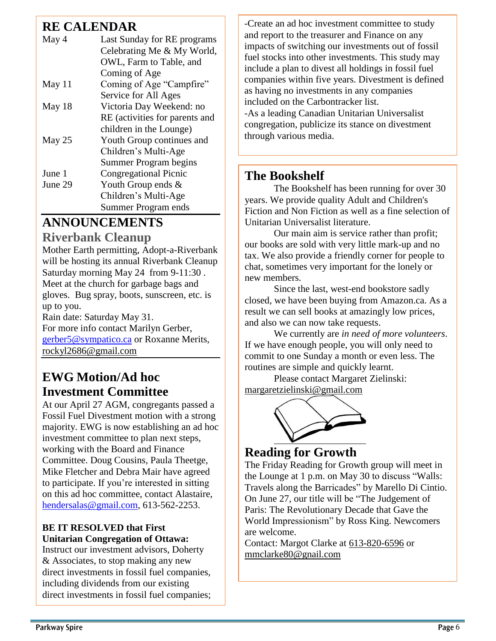### **RE CALENDAR**

| May 4    | Last Sunday for RE programs    |
|----------|--------------------------------|
|          | Celebrating Me & My World,     |
|          | OWL, Farm to Table, and        |
|          | Coming of Age                  |
| May $11$ | Coming of Age "Campfire"       |
|          | Service for All Ages           |
| May 18   | Victoria Day Weekend: no       |
|          | RE (activities for parents and |
|          | children in the Lounge)        |
| May 25   | Youth Group continues and      |
|          | Children's Multi-Age           |
|          | Summer Program begins          |
| June 1   | <b>Congregational Picnic</b>   |
| June 29  | Youth Group ends &             |
|          | Children's Multi-Age           |
|          | Summer Program ends            |

## **ANNOUNCEMENTS**

### **Riverbank Cleanup**

Mother Earth permitting, Adopt-a-Riverbank will be hosting its annual Riverbank Cleanup Saturday morning May 24 from 9-11:30 . Meet at the church for garbage bags and gloves. Bug spray, boots, sunscreen, etc. is up to you.

Rain date: Saturday May 31. For more info contact Marilyn Gerber, [gerber5@sympatico.ca](mailto:gerber5@sympatico.ca) or Roxanne Merits, rockyl2686[@gmail.com](http://gmail.com/)

### **EWG Motion/Ad hoc Investment Committee**

At our April 27 AGM, congregants passed a Fossil Fuel Divestment motion with a strong majority. EWG is now establishing an ad hoc investment committee to plan next steps, working with the Board and Finance Committee. Doug Cousins, Paula Theetge, Mike Fletcher and Debra Mair have agreed to participate. If you're interested in sitting on this ad hoc committee, contact Alastaire, [hendersalas@gmail.com,](mailto:hendersalas@gmail.com) 613-562-2253.

### **BE IT RESOLVED that First Unitarian Congregation of Ottawa:**

Instruct our investment advisors, Doherty & Associates, to stop making any new direct investments in fossil fuel companies, including dividends from our existing direct investments in fossil fuel companies; -Create an ad hoc investment committee to study and report to the treasurer and Finance on any impacts of switching our investments out of fossil fuel stocks into other investments. This study may include a plan to divest all holdings in fossil fuel companies within five years. Divestment is defined as having no investments in any companies included on the Carbontracker list. -As a leading Canadian Unitarian Universalist congregation, publicize its stance on divestment through various media.

### **The Bookshelf**

The Bookshelf has been running for over 30 years. We provide quality Adult and Children's Fiction and Non Fiction as well as a fine selection of Unitarian Universalist literature.

Our main aim is service rather than profit; our books are sold with very little mark-up and no tax. We also provide a friendly corner for people to chat, sometimes very important for the lonely or new members.

Since the last, west-end bookstore sadly closed, we have been buying from Amazon.ca. As a result we can sell books at amazingly low prices, and also we can now take requests.

We currently are *in need of more volunteers*. If we have enough people, you will only need to commit to one Sunday a month or even less. The routines are simple and quickly learnt.

Please contact Margaret Zielinski: [margaretzielinski@gmail.com](mailto:margaretzielinski@gmail.com)



### **Reading for Growth**

The Friday Reading for Growth group will meet in the Lounge at 1 p.m. on May 30 to discuss "Walls: Travels along the Barricades" by Marello Di Cintio. On June 27, our title will be "The Judgement of Paris: The Revolutionary Decade that Gave the World Impressionism" by Ross King. Newcomers are welcome.

Contact: Margot Clarke at [613-820-6596](tel:613-820-6596) or [mmclarke80@gnail.com](mailto:mmclarke80@gnail.com)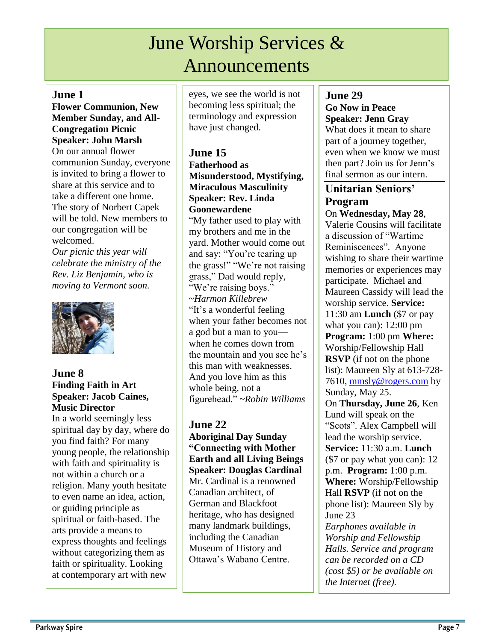## June Worship Services & Announcements

#### **June 1**

**Flower Communion, New Member Sunday, and All-Congregation Picnic Speaker: John Marsh**

On our annual flower communion Sunday, everyone is invited to bring a flower to share at this service and to take a different one home. The story of Norbert Capek will be told. New members to our congregation will be welcomed.

*Our picnic this year will celebrate the ministry of the Rev. Liz Benjamin, who is moving to Vermont soon.*



#### **June 8 Finding Faith in Art Speaker: Jacob Caines, Music Director**

In a world seemingly less spiritual day by day, where do you find faith? For many young people, the relationship with faith and spirituality is not within a church or a religion. Many youth hesitate to even name an idea, action, or guiding principle as spiritual or faith-based. The arts provide a means to express thoughts and feelings without categorizing them as faith or spirituality. Looking at contemporary art with new

eyes, we see the world is not becoming less spiritual; the terminology and expression have just changed.

### **June 15**

**Fatherhood as Misunderstood, Mystifying, Miraculous Masculinity Speaker: Rev. Linda Goonewardene**

"My father used to play with my brothers and me in the yard. Mother would come out and say: "You're tearing up the grass!" "We're not raising grass," Dad would reply, "We're raising boys." ~*Harmon Killebrew* "It's a wonderful feeling when your father becomes not a god but a man to you when he comes down from the mountain and you see he's this man with weaknesses. And you love him as this whole being, not a figurehead." *~Robin Williams*

### **June 22**

**Aboriginal Day Sunday "Connecting with Mother Earth and all Living Beings Speaker: Douglas Cardinal** Mr. Cardinal is a renowned Canadian architect, of German and Blackfoot heritage, who has designed many landmark buildings, including the Canadian Museum of History and Ottawa's Wabano Centre.

### **June 29**

**Go Now in Peace Speaker: Jenn Gray** What does it mean to share part of a journey together, even when we know we must then part? Join us for Jenn's final sermon as our intern.

### **Unitarian Seniors' Program**

On **Wednesday, May 28**, Valerie Cousins will facilitate a discussion of "Wartime Reminiscences". Anyone wishing to share their wartime memories or experiences may participate. Michael and Maureen Cassidy will lead the worship service. **Service:** 11:30 am **Lunch** (\$7 or pay what you can): 12:00 pm **Program:** 1:00 pm **Where:** Worship/Fellowship Hall **RSVP** (if not on the phone list): Maureen Sly at 613-728 7610, [mmsly@rogers.com](mailto:mmsly@rogers.com) by Sunday, May 25. On **Thursday, June 26**, Ken Lund will speak on the "Scots". Alex Campbell will lead the worship service. **Service:** 11:30 a.m. **Lunch**  (\$7 or pay what you can): 12 p.m. **Program:** 1:00 p.m. **Where:** Worship/Fellowship Hall **RSVP** (if not on the phone list): Maureen Sly by June 23 *Earphones available in Worship and Fellowship Halls. Service and program can be recorded on a CD (cost \$5) or be available on the Internet (free).*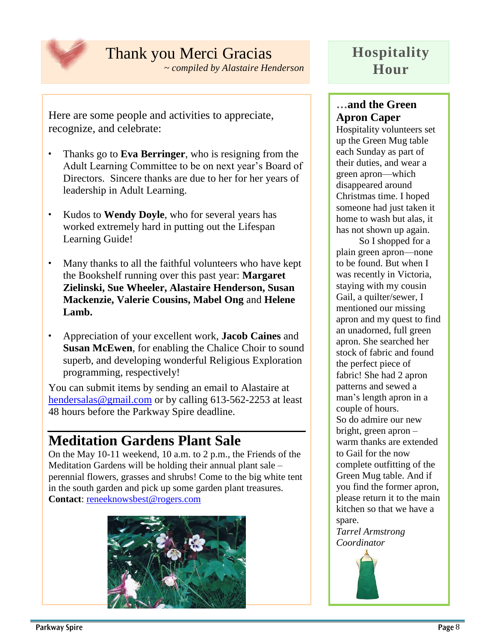

## Thank you Merci Gracias

*~ compiled by Alastaire Henderson*

Here are some people and activities to appreciate, recognize, and celebrate:

- Thanks go to **Eva Berringer**, who is resigning from the Adult Learning Committee to be on next year's Board of Directors. Sincere thanks are due to her for her years of leadership in Adult Learning.
- Kudos to **Wendy Doyle**, who for several years has worked extremely hard in putting out the Lifespan Learning Guide!
- Many thanks to all the faithful volunteers who have kept the Bookshelf running over this past year: **Margaret Zielinski, Sue Wheeler, Alastaire Henderson, Susan Mackenzie, Valerie Cousins, Mabel Ong** and **Helene Lamb.**
- Appreciation of your excellent work, **Jacob Caines** and **Susan McEwen**, for enabling the Chalice Choir to sound superb, and developing wonderful Religious Exploration programming, respectively!

You can submit items by sending an email to Alastaire at [hendersalas@gmail.com](mailto:hendersalas@gmail.com) or by calling 613-562-2253 at least 48 hours before the Parkway Spire deadline.

## **Meditation Gardens Plant Sale**

On the May 10-11 weekend, 10 a.m. to 2 p.m., the Friends of the Meditation Gardens will be holding their annual plant sale – perennial flowers, grasses and shrubs! Come to the big white tent in the south garden and pick up some garden plant treasures. **Contact**: [reneeknowsbest@rogers.com](mailto:reneeknowsbest@rogers.com)



## **Hospitality Hour**

### **…and the Green Apron Caper**

Hospitality volunteers set up the Green Mug table each Sunday as part of their duties, and wear a green apron—which disappeared around Christmas time. I hoped someone had just taken it home to wash but alas, it has not shown up again.

So I shopped for a plain green apron—none to be found. But when I was recently in Victoria, staying with my cousin Gail, a quilter/sewer, I mentioned our missing apron and my quest to find an unadorned, full green apron. She searched her stock of fabric and found the perfect piece of fabric! She had 2 apron patterns and sewed a man's length apron in a couple of hours. So do admire our new bright, green apron – warm thanks are extended to Gail for the now complete outfitting of the Green Mug table. And if you find the former apron, please return it to the main kitchen so that we have a spare.

*Tarrel Armstrong Coordinator*

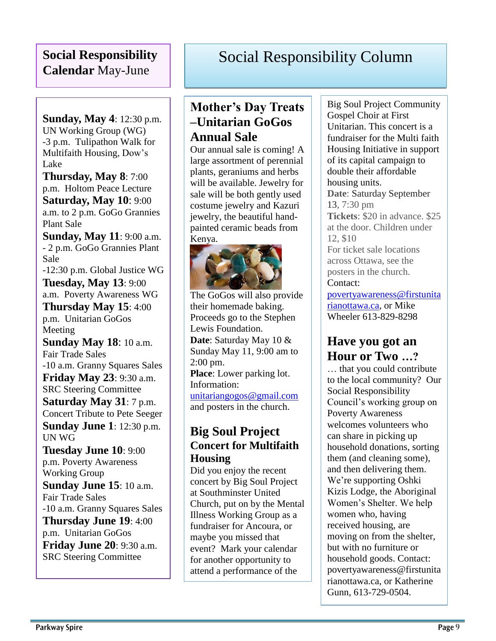### **Social Responsibility Calendar** May-June

**Sunday, May 4**: 12:30 p.m. UN Working Group (WG) -3 p.m. Tulipathon Walk for Multifaith Housing, Dow's Lake

**Thursday, May 8**: 7:00 p.m. Holtom Peace Lecture **Saturday, May 10**: 9:00 a.m. to 2 p.m. GoGo Grannies Plant Sale

**Sunday, May 11**: 9:00 a.m. - 2 p.m. GoGo Grannies Plant Sale -12:30 p.m. Global Justice WG

**Tuesday, May 13**: 9:00 a.m. Poverty Awareness WG

**Thursday May 15**: 4:00 p.m. Unitarian GoGos Meeting

**Sunday May 18**: 10 a.m. Fair Trade Sales -10 a.m. Granny Squares Sales **Friday May 23**: 9:30 a.m. SRC Steering Committee **Saturday May 31**: 7 p.m. Concert Tribute to Pete Seeger **Sunday June 1**: 12:30 p.m. UN WG

**Tuesday June 10**: 9:00 p.m. Poverty Awareness Working Group **Sunday June 15**: 10 a.m. Fair Trade Sales -10 a.m. Granny Squares Sales **Thursday June 19**: 4:00 p.m. Unitarian GoGos **Friday June 20**: 9:30 a.m. SRC Steering Committee

## Social Responsibility Column

### **Mother's Day Treats –Unitarian GoGos Annual Sale**

Our annual sale is coming! A large assortment of perennial plants, geraniums and herbs will be available. Jewelry for sale will be both gently used costume jewelry and Kazuri jewelry, the beautiful handpainted ceramic beads from Kenya.



The GoGos will also provide their homemade baking. Proceeds go to the Stephen Lewis Foundation. **Date**: Saturday May 10 & Sunday May 11, 9:00 am to 2:00 pm. **Place**: Lower parking lot. Information: [unitariangogos@gmail.com](mailto:unitariangogos@gmail.com) and posters in the church.

### **Big Soul Project Concert for Multifaith Housing**

Did you enjoy the recent concert by Big Soul Project at Southminster United Church, put on by the Mental Illness Working Group as a fundraiser for Ancoura, or maybe you missed that event? Mark your calendar for another opportunity to attend a performance of the

Big Soul Project Community Gospel Choir at First Unitarian. This concert is a fundraiser for the Multi faith Housing Initiative in support of its capital campaign to double their affordable housing units. **Date**: Saturday September 13, 7:30 pm **Tickets**: \$20 in advance. \$25 at the door. Children under 12, \$10 For ticket sale locations across Ottawa, see the posters in the church. Contact: [povertyawareness@firstunita](mailto:povertyawareness@firstunitarianottawa.ca) [rianottawa.ca,](mailto:povertyawareness@firstunitarianottawa.ca) or Mike

Wheeler 613-829-8298

### **Have you got an Hour or Two …?**

… that you could contribute to the local community? Our Social Responsibility Council's working group on Poverty Awareness welcomes volunteers who can share in picking up household donations, sorting them (and cleaning some), and then delivering them. We're supporting Oshki Kizis Lodge, the Aboriginal Women's Shelter. We help women who, having received housing, are moving on from the shelter, but with no furniture or household goods. Contact: povertyawareness@firstunita rianottawa.ca, or Katherine Gunn, 613-729-0504.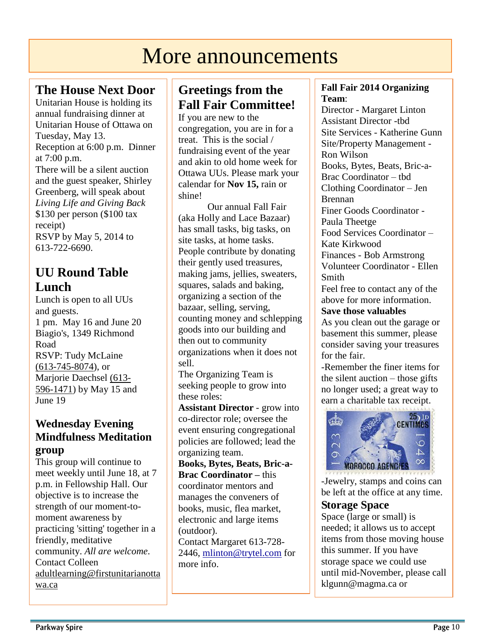# More announcements

### **The House Next Door**

Unitarian House is holding its annual fundraising dinner at Unitarian House of Ottawa on Tuesday, May 13. Reception at 6:00 p.m. Dinner at 7:00 p.m. There will be a silent auction and the guest speaker, Shirley Greenberg, will speak about *Living Life and Giving Back* \$130 per person (\$100 tax receipt) RSVP by May 5, 2014 to 613-722-6690.

### **UU Round Table Lunch**

Lunch is open to all UUs and guests. 1 pm. May 16 and June 20 Biagio's, 1349 Richmond Road RSVP: Tudy McLaine [\(613-745-8074\)](tel:%28613-745-8074), or Marjorie Daechsel [\(613-](tel:%28613-596-1471) [596-1471\)](tel:%28613-596-1471) by May 15 and June 19

### **Wednesday Evening Mindfulness Meditation group**

This group will continue to meet weekly until June 18, at 7 p.m. in Fellowship Hall. Our objective is to increase the strength of our moment-tomoment awareness by practicing 'sitting' together in a friendly, meditative community. *All are welcome*. Contact Colleen [adultlearning@firstunitarianotta](mailto:adultlearning@firstunitarianottawa.ca) [wa.ca](mailto:adultlearning@firstunitarianottawa.ca)

### **Greetings from the Fall Fair Committee!**

If you are new to the congregation, you are in for a treat. This is the social / fundraising event of the year and akin to old home week for Ottawa UUs. Please mark your calendar for **Nov 15,** rain or shine!

Our annual Fall Fair (aka Holly and Lace Bazaar) has small tasks, big tasks, on site tasks, at home tasks. People contribute by donating their gently used treasures, making jams, jellies, sweaters, squares, salads and baking, organizing a section of the bazaar, selling, serving, counting money and schlepping goods into our building and then out to community organizations when it does not sell.

The Organizing Team is seeking people to grow into these roles:

**Assistant Director** - grow into co-director role; oversee the event ensuring congregational policies are followed; lead the organizing team.

**Books, Bytes, Beats, Bric-a-Brac Coordinator –** this coordinator mentors and manages the conveners of books, music, flea market, electronic and large items (outdoor).

Contact Margaret 613-728- 2446, [mlinton@trytel.com](mailto:mlinton@trytel.com) for more info.

### **Fall Fair 2014 Organizing Team**:

Director - Margaret Linton Assistant Director -tbd Site Services - Katherine Gunn Site/Property Management - Ron Wilson Books, Bytes, Beats, Bric-a-Brac Coordinator – tbd Clothing Coordinator – Jen Brennan Finer Goods Coordinator - Paula Theetge Food Services Coordinator – Kate Kirkwood Finances - Bob Armstrong Volunteer Coordinator - Ellen Smith

Feel free to contact any of the above for more information.

#### **Save those valuables**

As you clean out the garage or basement this summer, please consider saving your treasures for the fair.

-Remember the finer items for the silent auction – those gifts no longer used; a great way to earn a charitable tax receipt.



-Jewelry, stamps and coins can be left at the office at any time.

### **Storage Space**

Space (large or small) is needed; it allows us to accept items from those moving house this summer. If you have storage space we could use until mid-November, please call klgunn@magma.ca or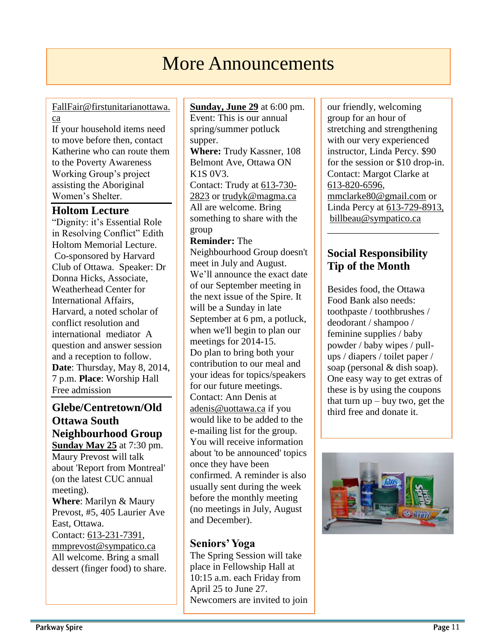## More Announcements

### [FallFair@firstunitarianottawa.](mailto:FallFair@firstunitarianottawa.ca) [ca](mailto:FallFair@firstunitarianottawa.ca)

If your household items need to move before then, contact Katherine who can route them to the Poverty Awareness Working Group's project assisting the Aboriginal Women's Shelter.

### **Holtom Lecture**

"Dignity: it's Essential Role in Resolving Conflict" Edith Holtom Memorial Lecture. Co-sponsored by Harvard Club of Ottawa. Speaker: Dr Donna Hicks, Associate, Weatherhead Center for International Affairs, Harvard, a noted scholar of conflict resolution and international mediator A question and answer session and a reception to follow. **Date**: Thursday, May 8, 2014, 7 p.m. **Place**: Worship Hall Free admission

**Glebe/Centretown/Old Ottawa South Neighbourhood Group Sunday May 25** at 7:30 pm. Maury Prevost will talk about 'Report from Montreal' (on the latest CUC annual meeting). **Where**: Marilyn & Maury Prevost, #5, 405 Laurier Ave East, Ottawa. Contact: [613-231-7391,](tel:613-231-7391) [mmprevost@sympatico.ca](mailto:mmprevost@sympatico.ca) All welcome. Bring a small dessert (finger food) to share.

### **Sunday, June 29** at 6:00 pm.

Event: This is our annual spring/summer potluck supper. **Where:** Trudy Kassner, 108

Belmont Ave, Ottawa ON K1S 0V3. Contact: Trudy at [613-730-](tel:613-730-2823) [2823](tel:613-730-2823) or [trudyk@magma.ca](mailto:trudyk@magma.ca) All are welcome. Bring something to share with the group

#### **Reminder:** The

Neighbourhood Group doesn't meet in July and August. We'll announce the exact date of our September meeting in the next issue of the Spire. It will be a Sunday in late September at 6 pm, a potluck, when we'll begin to plan our meetings for 2014-15. Do plan to bring both your contribution to our meal and your ideas for topics/speakers for our future meetings. Contact: Ann Denis at [adenis@uottawa.ca](mailto:adenis@uottawa.ca) if you would like to be added to the e-mailing list for the group. You will receive information about 'to be announced' topics once they have been confirmed. A reminder is also usually sent during the week before the monthly meeting (no meetings in July, August and December).

### **Seniors' Yoga**

The Spring Session will take place in Fellowship Hall at 10:15 a.m. each Friday from April 25 to June 27. Newcomers are invited to join our friendly, welcoming group for an hour of stretching and strengthening with our very experienced instructor, Linda Percy. \$90 for the session or \$10 drop-in. Contact: Margot Clarke at [613-820-6596,](tel:613-820-6596) [mmclarke80@gmail.com](mailto:mmclarke80@gmail.com) or Linda Percy at 613-729-8913, [billbeau@sympatico.ca](mailto:billbeau@sympatico.ca)

### **Social Responsibility Tip of the Month**

\_\_\_\_\_\_\_\_\_\_\_\_\_\_\_\_\_\_\_\_\_\_\_

Besides food, the Ottawa Food Bank also needs: toothpaste / toothbrushes / deodorant / shampoo / feminine supplies / baby powder / baby wipes / pullups / diapers / toilet paper / soap (personal & dish soap). One easy way to get extras of these is by using the coupons that turn  $up - buy$  two, get the third free and donate it.